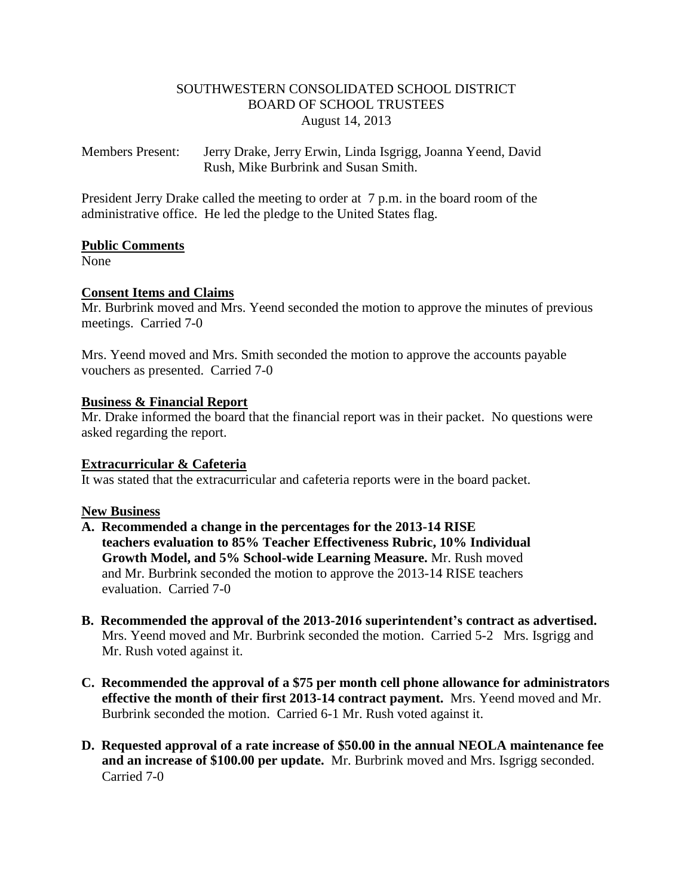# SOUTHWESTERN CONSOLIDATED SCHOOL DISTRICT BOARD OF SCHOOL TRUSTEES August 14, 2013

Members Present: Jerry Drake, Jerry Erwin, Linda Isgrigg, Joanna Yeend, David Rush, Mike Burbrink and Susan Smith.

President Jerry Drake called the meeting to order at 7 p.m. in the board room of the administrative office. He led the pledge to the United States flag.

# **Public Comments**

None

# **Consent Items and Claims**

Mr. Burbrink moved and Mrs. Yeend seconded the motion to approve the minutes of previous meetings. Carried 7-0

Mrs. Yeend moved and Mrs. Smith seconded the motion to approve the accounts payable vouchers as presented. Carried 7-0

### **Business & Financial Report**

Mr. Drake informed the board that the financial report was in their packet. No questions were asked regarding the report.

### **Extracurricular & Cafeteria**

It was stated that the extracurricular and cafeteria reports were in the board packet.

# **New Business**

- **A. Recommended a change in the percentages for the 2013-14 RISE teachers evaluation to 85% Teacher Effectiveness Rubric, 10% Individual Growth Model, and 5% School-wide Learning Measure.** Mr. Rush moved and Mr. Burbrink seconded the motion to approve the 2013-14 RISE teachers evaluation. Carried 7-0
- **B. Recommended the approval of the 2013-2016 superintendent's contract as advertised.** Mrs. Yeend moved and Mr. Burbrink seconded the motion. Carried 5-2 Mrs. Isgrigg and Mr. Rush voted against it.
- **C. Recommended the approval of a \$75 per month cell phone allowance for administrators effective the month of their first 2013-14 contract payment.** Mrs. Yeend moved and Mr. Burbrink seconded the motion. Carried 6-1 Mr. Rush voted against it.
- **D. Requested approval of a rate increase of \$50.00 in the annual NEOLA maintenance fee and an increase of \$100.00 per update.** Mr. Burbrink moved and Mrs. Isgrigg seconded. Carried 7-0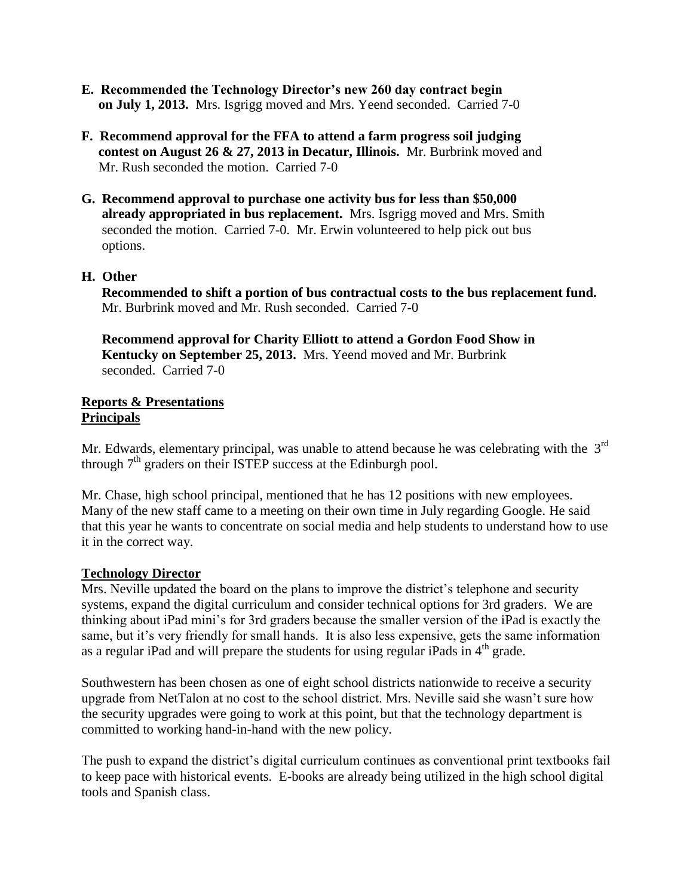- **E. Recommended the Technology Director's new 260 day contract begin on July 1, 2013.** Mrs. Isgrigg moved and Mrs. Yeend seconded. Carried 7-0
- **F. Recommend approval for the FFA to attend a farm progress soil judging contest on August 26 & 27, 2013 in Decatur, Illinois.** Mr. Burbrink moved and Mr. Rush seconded the motion. Carried 7-0
- **G. Recommend approval to purchase one activity bus for less than \$50,000 already appropriated in bus replacement.** Mrs. Isgrigg moved and Mrs. Smith seconded the motion. Carried 7-0. Mr. Erwin volunteered to help pick out bus options.

# **H. Other**

 **Recommended to shift a portion of bus contractual costs to the bus replacement fund.** Mr. Burbrink moved and Mr. Rush seconded. Carried 7-0

 **Recommend approval for Charity Elliott to attend a Gordon Food Show in Kentucky on September 25, 2013.** Mrs. Yeend moved and Mr. Burbrink seconded. Carried 7-0

#### **Reports & Presentations Principals**

Mr. Edwards, elementary principal, was unable to attend because he was celebrating with the  $3<sup>rd</sup>$ through  $7<sup>th</sup>$  graders on their ISTEP success at the Edinburgh pool.

Mr. Chase, high school principal, mentioned that he has 12 positions with new employees. Many of the new staff came to a meeting on their own time in July regarding Google. He said that this year he wants to concentrate on social media and help students to understand how to use it in the correct way.

### **Technology Director**

Mrs. Neville updated the board on the plans to improve the district's telephone and security systems, expand the digital curriculum and consider technical options for 3rd graders. We are thinking about iPad mini's for 3rd graders because the smaller version of the iPad is exactly the same, but it's very friendly for small hands. It is also less expensive, gets the same information as a regular iPad and will prepare the students for using regular iPads in  $4<sup>th</sup>$  grade.

Southwestern has been chosen as one of eight school districts nationwide to receive a security upgrade from NetTalon at no cost to the school district. Mrs. Neville said she wasn't sure how the security upgrades were going to work at this point, but that the technology department is committed to working hand-in-hand with the new policy.

The push to expand the district's digital curriculum continues as conventional print textbooks fail to keep pace with historical events. E-books are already being utilized in the high school digital tools and Spanish class.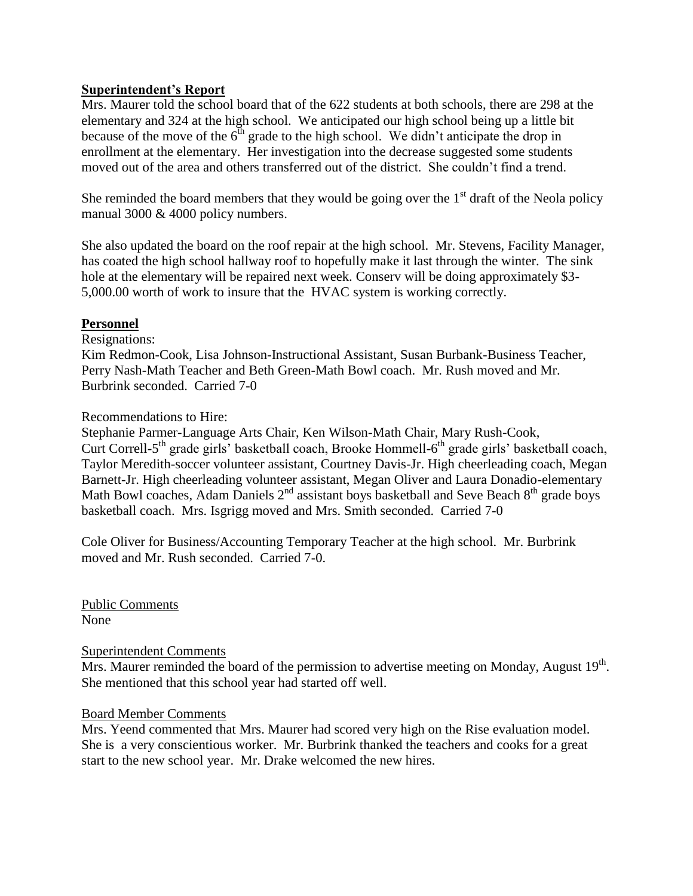# **Superintendent's Report**

Mrs. Maurer told the school board that of the 622 students at both schools, there are 298 at the elementary and 324 at the high school. We anticipated our high school being up a little bit because of the move of the  $6<sup>th</sup>$  grade to the high school. We didn't anticipate the drop in enrollment at the elementary. Her investigation into the decrease suggested some students moved out of the area and others transferred out of the district. She couldn't find a trend.

She reminded the board members that they would be going over the  $1<sup>st</sup>$  draft of the Neola policy manual 3000 & 4000 policy numbers.

She also updated the board on the roof repair at the high school. Mr. Stevens, Facility Manager, has coated the high school hallway roof to hopefully make it last through the winter. The sink hole at the elementary will be repaired next week. Conserv will be doing approximately \$3-5,000.00 worth of work to insure that the HVAC system is working correctly.

### **Personnel**

Resignations:

Kim Redmon-Cook, Lisa Johnson-Instructional Assistant, Susan Burbank-Business Teacher, Perry Nash-Math Teacher and Beth Green-Math Bowl coach. Mr. Rush moved and Mr. Burbrink seconded. Carried 7-0

# Recommendations to Hire:

Stephanie Parmer-Language Arts Chair, Ken Wilson-Math Chair, Mary Rush-Cook, Curt Correll-5<sup>th</sup> grade girls' basketball coach, Brooke Hommell-6<sup>th</sup> grade girls' basketball coach, Taylor Meredith-soccer volunteer assistant, Courtney Davis-Jr. High cheerleading coach, Megan Barnett-Jr. High cheerleading volunteer assistant, Megan Oliver and Laura Donadio-elementary Math Bowl coaches, Adam Daniels  $2<sup>nd</sup>$  assistant boys basketball and Seve Beach  $8<sup>th</sup>$  grade boys basketball coach. Mrs. Isgrigg moved and Mrs. Smith seconded. Carried 7-0

Cole Oliver for Business/Accounting Temporary Teacher at the high school. Mr. Burbrink moved and Mr. Rush seconded. Carried 7-0.

Public Comments None

Superintendent Comments

Mrs. Maurer reminded the board of the permission to advertise meeting on Monday, August  $19<sup>th</sup>$ . She mentioned that this school year had started off well.

### Board Member Comments

Mrs. Yeend commented that Mrs. Maurer had scored very high on the Rise evaluation model. She is a very conscientious worker. Mr. Burbrink thanked the teachers and cooks for a great start to the new school year. Mr. Drake welcomed the new hires.